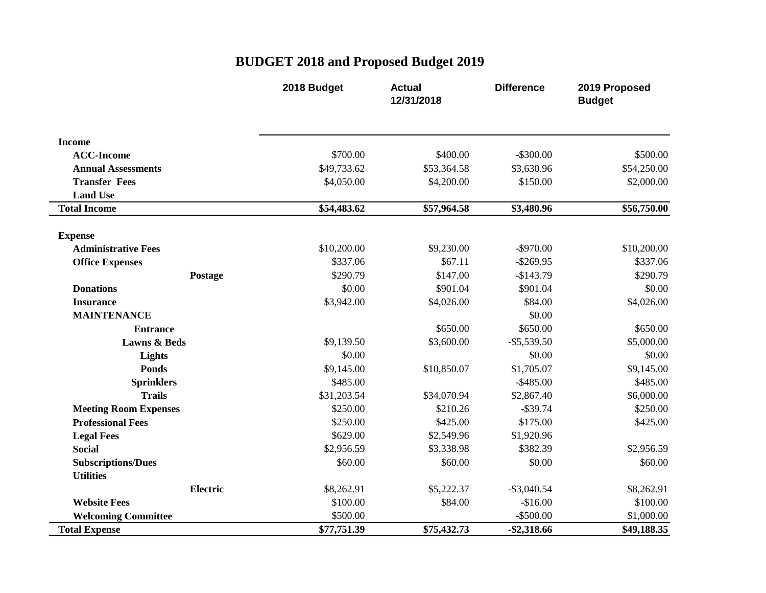## **BUDGET 2018 and Proposed Budget 2019**

|                              | 2018 Budget | <b>Actual</b><br>12/31/2018 | <b>Difference</b> | 2019 Proposed<br><b>Budget</b> |
|------------------------------|-------------|-----------------------------|-------------------|--------------------------------|
| <b>Income</b>                |             |                             |                   |                                |
| <b>ACC-Income</b>            | \$700.00    | \$400.00                    | $-$ \$300.00      | \$500.00                       |
| <b>Annual Assessments</b>    | \$49,733.62 | \$53,364.58                 | \$3,630.96        | \$54,250.00                    |
| <b>Transfer Fees</b>         | \$4,050.00  | \$4,200.00                  | \$150.00          | \$2,000.00                     |
| <b>Land Use</b>              |             |                             |                   |                                |
| <b>Total Income</b>          | \$54,483.62 | \$57,964.58                 | \$3,480.96        | \$56,750.00                    |
| <b>Expense</b>               |             |                             |                   |                                |
| <b>Administrative Fees</b>   | \$10,200.00 | \$9,230.00                  | $-$ \$970.00      | \$10,200.00                    |
| <b>Office Expenses</b>       | \$337.06    | \$67.11                     | $-$ \$269.95      | \$337.06                       |
| Postage                      | \$290.79    | \$147.00                    | $-$143.79$        | \$290.79                       |
| <b>Donations</b>             | \$0.00      | \$901.04                    | \$901.04          | \$0.00                         |
| <b>Insurance</b>             | \$3,942.00  | \$4,026.00                  | \$84.00           | \$4,026.00                     |
| <b>MAINTENANCE</b>           |             |                             | \$0.00            |                                |
| <b>Entrance</b>              |             | \$650.00                    | \$650.00          | \$650.00                       |
| <b>Lawns &amp; Beds</b>      | \$9,139.50  | \$3,600.00                  | $-$ \$5,539.50    | \$5,000.00                     |
| Lights                       | \$0.00      |                             | \$0.00            | \$0.00                         |
| <b>Ponds</b>                 | \$9,145.00  | \$10,850.07                 | \$1,705.07        | \$9,145.00                     |
| <b>Sprinklers</b>            | \$485.00    |                             | $-$ \$485.00      | \$485.00                       |
| <b>Trails</b>                | \$31,203.54 | \$34,070.94                 | \$2,867.40        | \$6,000.00                     |
| <b>Meeting Room Expenses</b> | \$250.00    | \$210.26                    | $-$ \$39.74       | \$250.00                       |
| <b>Professional Fees</b>     | \$250.00    | \$425.00                    | \$175.00          | \$425.00                       |
| <b>Legal Fees</b>            | \$629.00    | \$2,549.96                  | \$1,920.96        |                                |
| <b>Social</b>                | \$2,956.59  | \$3,338.98                  | \$382.39          | \$2,956.59                     |
| <b>Subscriptions/Dues</b>    | \$60.00     | \$60.00                     | \$0.00            | \$60.00                        |
| <b>Utilities</b>             |             |                             |                   |                                |
| <b>Electric</b>              | \$8,262.91  | \$5,222.37                  | $-$ \$3,040.54    | \$8,262.91                     |
| <b>Website Fees</b>          | \$100.00    | \$84.00                     | $-$16.00$         | \$100.00                       |
| <b>Welcoming Committee</b>   | \$500.00    |                             | $-$ \$500.00      | \$1,000.00                     |
| <b>Total Expense</b>         | \$77,751.39 | \$75,432.73                 | $-$ \$2,318.66    | \$49,188.35                    |